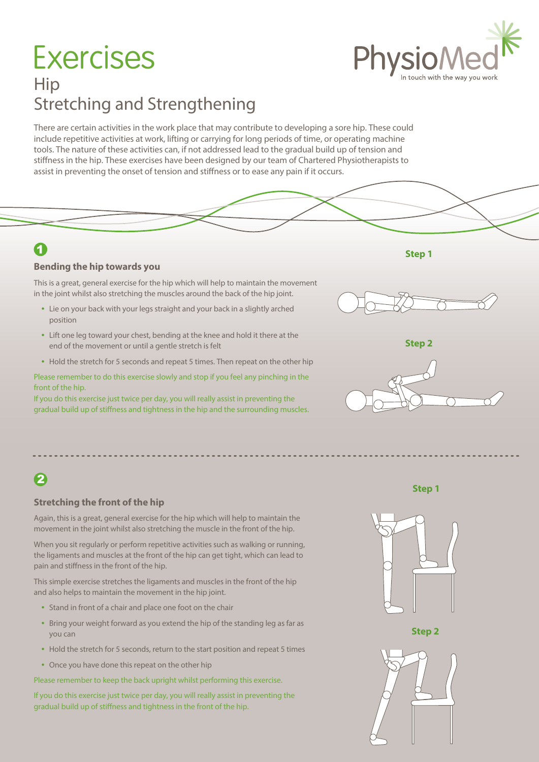# Hip Stretching and Strengthening **Exercises**

There are certain activities in the work place that may contribute to developing a sore hip. These could include repetitive activities at work, lifting or carrying for long periods of time, or operating machine tools. The nature of these activities can, if not addressed lead to the gradual build up of tension and stiffness in the hip. These exercises have been designed by our team of Chartered Physiotherapists to assist in preventing the onset of tension and stiffness or to ease any pain if it occurs.



#### **Bending the hip towards you**

This is a great, general exercise for the hip which will help to maintain the movement in the joint whilst also stretching the muscles around the back of the hip joint.

- Lie on your back with your legs straight and your back in a slightly arched position
- Lift one leg toward your chest, bending at the knee and hold it there at the end of the movement or until a gentle stretch is felt
- Hold the stretch for 5 seconds and repeat 5 times. Then repeat on the other hip

Please remember to do this exercise slowly and stop if you feel any pinching in the front of the hip.

If you do this exercise just twice per day, you will really assist in preventing the gradual build up of stiffness and tightness in the hip and the surrounding muscles.



**Step 2**



**Step 1**

2

#### **Stretching the front of the hip**

Again, this is a great, general exercise for the hip which will help to maintain the movement in the joint whilst also stretching the muscle in the front of the hip.

When you sit regularly or perform repetitive activities such as walking or running, the ligaments and muscles at the front of the hip can get tight, which can lead to pain and stiffness in the front of the hip.

This simple exercise stretches the ligaments and muscles in the front of the hip and also helps to maintain the movement in the hip joint.

- Stand in front of a chair and place one foot on the chair
- Bring your weight forward as you extend the hip of the standing leg as far as you can
- Hold the stretch for 5 seconds, return to the start position and repeat 5 times
- Once you have done this repeat on the other hip

Please remember to keep the back upright whilst performing this exercise.

If you do this exercise just twice per day, you will really assist in preventing the gradual build up of stiffness and tightness in the front of the hip.









**Step 1**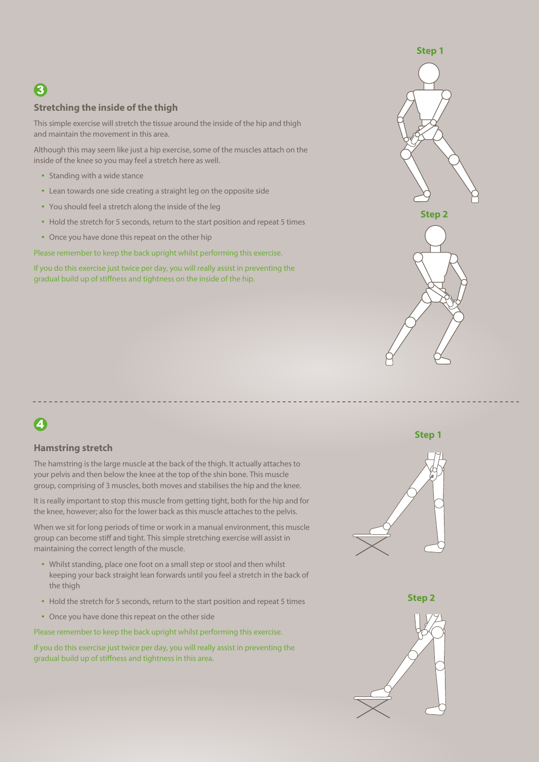# 3

#### **Stretching the inside of the thigh**

This simple exercise will stretch the tissue around the inside of the hip and thigh and maintain the movement in this area.

Although this may seem like just a hip exercise, some of the muscles attach on the inside of the knee so you may feel a stretch here as well.

- Standing with a wide stance
- Lean towards one side creating a straight leg on the opposite side
- You should feel a stretch along the inside of the leg
- Hold the stretch for 5 seconds, return to the start position and repeat 5 times
- Once you have done this repeat on the other hip

Please remember to keep the back upright whilst performing this exercise.

If you do this exercise just twice per day, you will really assist in preventing the gradual build up of stiffness and tightness on the inside of the hip.



## 4

#### **Hamstring stretch**

The hamstring is the large muscle at the back of the thigh. It actually attaches to your pelvis and then below the knee at the top of the shin bone. This muscle group, comprising of 3 muscles, both moves and stabilises the hip and the knee.

It is really important to stop this muscle from getting tight, both for the hip and for the knee, however; also for the lower back as this muscle attaches to the pelvis.

When we sit for long periods of time or work in a manual environment, this muscle group can become stiff and tight. This simple stretching exercise will assist in maintaining the correct length of the muscle.

- Whilst standing, place one foot on a small step or stool and then whilst keeping your back straight lean forwards until you feel a stretch in the back of the thigh
- Hold the stretch for 5 seconds, return to the start position and repeat 5 times
- Once you have done this repeat on the other side

Please remember to keep the back upright whilst performing this exercise.

If you do this exercise just twice per day, you will really assist in preventing the gradual build up of stiffness and tightness in this area.

#### **Step 1**





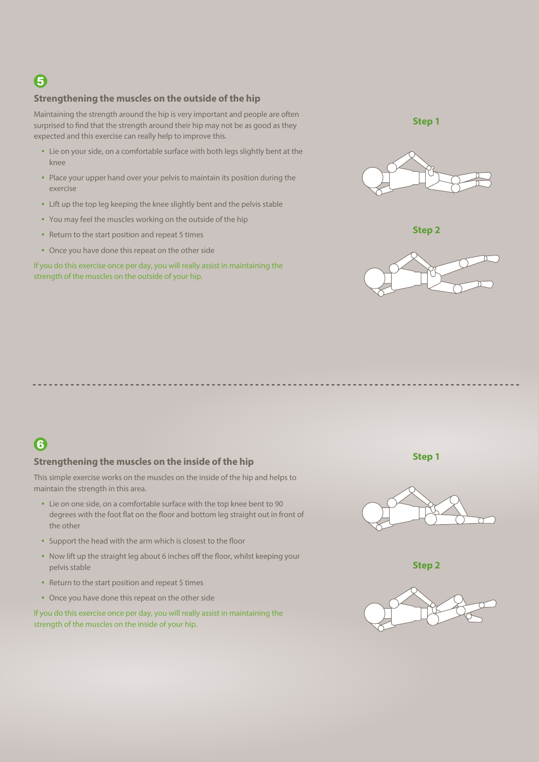#### **Strengthening the muscles on the outside of the hip**

Maintaining the strength around the hip is very important and people are often surprised to find that the strength around their hip may not be as good as they expected and this exercise can really help to improve this.

- Lie on your side, on a comfortable surface with both legs slightly bent at the knee
- Place your upper hand over your pelvis to maintain its position during the exercise
- Lift up the top leg keeping the knee slightly bent and the pelvis stable
- You may feel the muscles working on the outside of the hip
- Return to the start position and repeat 5 times
- Once you have done this repeat on the other side

If you do this exercise once per day, you will really assist in maintaining the strength of the muscles on the outside of your hip.







### 6

#### **Strengthening the muscles on the inside of the hip**

This simple exercise works on the muscles on the inside of the hip and helps to maintain the strength in this area.

- Lie on one side, on a comfortable surface with the top knee bent to 90 degrees with the foot flat on the floor and bottom leg straight out in front of the other
- Support the head with the arm which is closest to the floor
- Now lift up the straight leg about 6 inches off the floor, whilst keeping your pelvis stable
- Return to the start position and repeat 5 times
- Once you have done this repeat on the other side

If you do this exercise once per day, you will really assist in maintaining the strength of the muscles on the inside of your hip.

**Step 1**



**Step 2**



**Step 1**